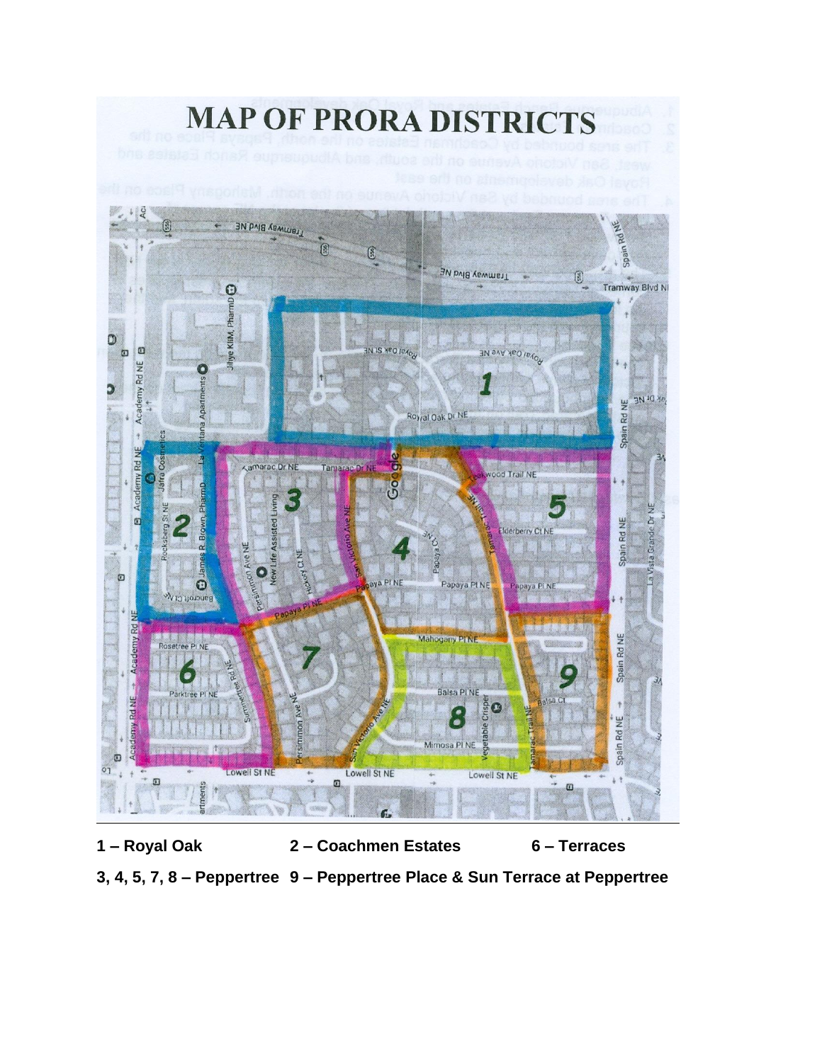

**3, 4, 5, 7, 8 – Peppertree 9 – Peppertree Place & Sun Terrace at Peppertree**